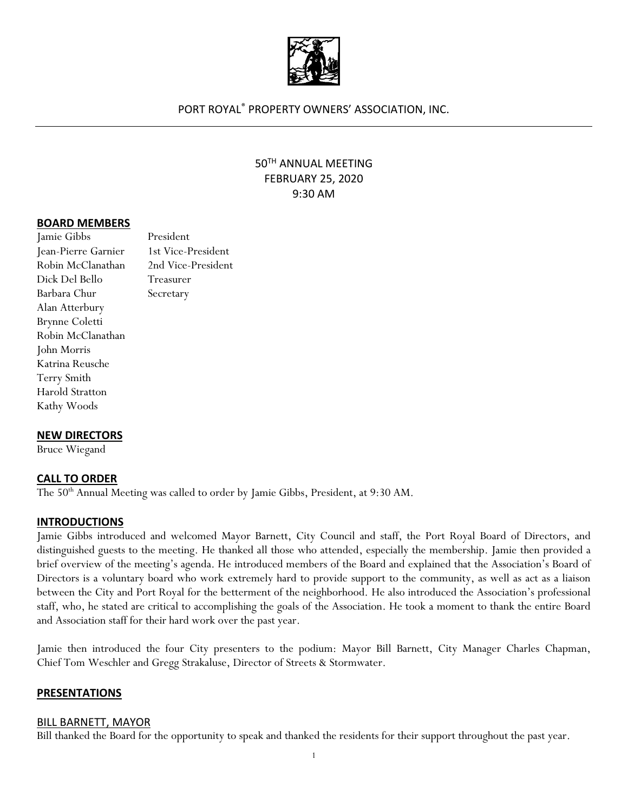

### PORT ROYAL® PROPERTY OWNERS' ASSOCIATION, INC.

# 50TH ANNUAL MEETING FEBRUARY 25, 2020 9:30 AM

#### **BOARD MEMBERS**

| Jamie Gibbs         | President          |
|---------------------|--------------------|
| Jean-Pierre Garnier | 1st Vice-President |
| Robin McClanathan   | 2nd Vice-President |
| Dick Del Bello      | Treasurer          |
| Barbara Chur        | Secretary          |
| Alan Atterbury      |                    |
| Brynne Coletti      |                    |
| Robin McClanathan   |                    |
| John Morris         |                    |
| Katrina Reusche     |                    |
| Terry Smith         |                    |
| Harold Stratton     |                    |
| Kathy Woods         |                    |

### **NEW DIRECTORS**

Bruce Wiegand

### **CALL TO ORDER**

The 50<sup>th</sup> Annual Meeting was called to order by Jamie Gibbs, President, at 9:30 AM.

#### **INTRODUCTIONS**

Jamie Gibbs introduced and welcomed Mayor Barnett, City Council and staff, the Port Royal Board of Directors, and distinguished guests to the meeting. He thanked all those who attended, especially the membership. Jamie then provided a brief overview of the meeting's agenda. He introduced members of the Board and explained that the Association's Board of Directors is a voluntary board who work extremely hard to provide support to the community, as well as act as a liaison between the City and Port Royal for the betterment of the neighborhood. He also introduced the Association's professional staff, who, he stated are critical to accomplishing the goals of the Association. He took a moment to thank the entire Board and Association staff for their hard work over the past year.

Jamie then introduced the four City presenters to the podium: Mayor Bill Barnett, City Manager Charles Chapman, Chief Tom Weschler and Gregg Strakaluse, Director of Streets & Stormwater.

#### **PRESENTATIONS**

#### BILL BARNETT, MAYOR

Bill thanked the Board for the opportunity to speak and thanked the residents for their support throughout the past year.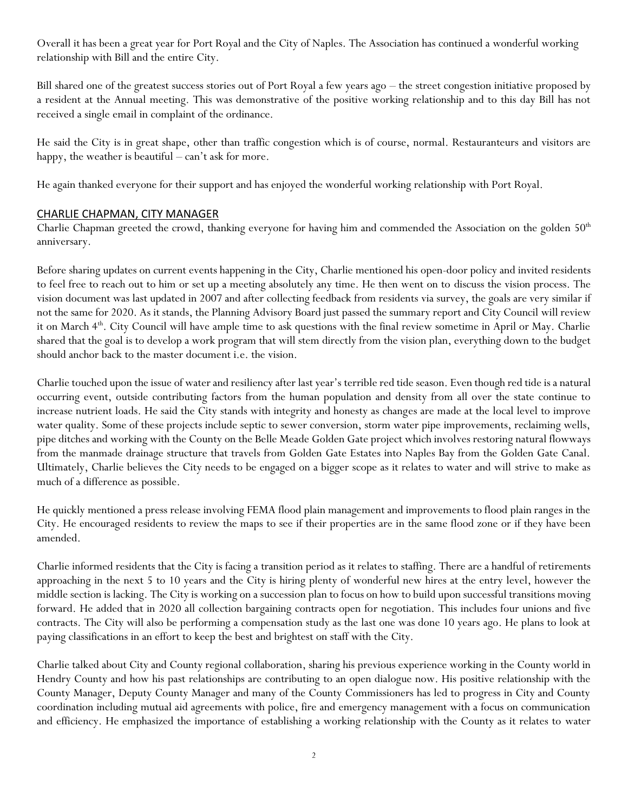Overall it has been a great year for Port Royal and the City of Naples. The Association has continued a wonderful working relationship with Bill and the entire City.

Bill shared one of the greatest success stories out of Port Royal a few years ago – the street congestion initiative proposed by a resident at the Annual meeting. This was demonstrative of the positive working relationship and to this day Bill has not received a single email in complaint of the ordinance.

He said the City is in great shape, other than traffic congestion which is of course, normal. Restauranteurs and visitors are happy, the weather is beautiful – can't ask for more.

He again thanked everyone for their support and has enjoyed the wonderful working relationship with Port Royal.

## CHARLIE CHAPMAN, CITY MANAGER

Charlie Chapman greeted the crowd, thanking everyone for having him and commended the Association on the golden 50<sup>th</sup> anniversary.

Before sharing updates on current events happening in the City, Charlie mentioned his open-door policy and invited residents to feel free to reach out to him or set up a meeting absolutely any time. He then went on to discuss the vision process. The vision document was last updated in 2007 and after collecting feedback from residents via survey, the goals are very similar if not the same for 2020. As it stands, the Planning Advisory Board just passed the summary report and City Council will review it on March 4<sup>th</sup>. City Council will have ample time to ask questions with the final review sometime in April or May. Charlie shared that the goal is to develop a work program that will stem directly from the vision plan, everything down to the budget should anchor back to the master document i.e. the vision.

Charlie touched upon the issue of water and resiliency after last year's terrible red tide season. Even though red tide is a natural occurring event, outside contributing factors from the human population and density from all over the state continue to increase nutrient loads. He said the City stands with integrity and honesty as changes are made at the local level to improve water quality. Some of these projects include septic to sewer conversion, storm water pipe improvements, reclaiming wells, pipe ditches and working with the County on the Belle Meade Golden Gate project which involves restoring natural flowways from the manmade drainage structure that travels from Golden Gate Estates into Naples Bay from the Golden Gate Canal. Ultimately, Charlie believes the City needs to be engaged on a bigger scope as it relates to water and will strive to make as much of a difference as possible.

He quickly mentioned a press release involving FEMA flood plain management and improvements to flood plain ranges in the City. He encouraged residents to review the maps to see if their properties are in the same flood zone or if they have been amended.

Charlie informed residents that the City is facing a transition period as it relates to staffing. There are a handful of retirements approaching in the next 5 to 10 years and the City is hiring plenty of wonderful new hires at the entry level, however the middle section is lacking. The City is working on a succession plan to focus on how to build upon successful transitions moving forward. He added that in 2020 all collection bargaining contracts open for negotiation. This includes four unions and five contracts. The City will also be performing a compensation study as the last one was done 10 years ago. He plans to look at paying classifications in an effort to keep the best and brightest on staff with the City.

Charlie talked about City and County regional collaboration, sharing his previous experience working in the County world in Hendry County and how his past relationships are contributing to an open dialogue now. His positive relationship with the County Manager, Deputy County Manager and many of the County Commissioners has led to progress in City and County coordination including mutual aid agreements with police, fire and emergency management with a focus on communication and efficiency. He emphasized the importance of establishing a working relationship with the County as it relates to water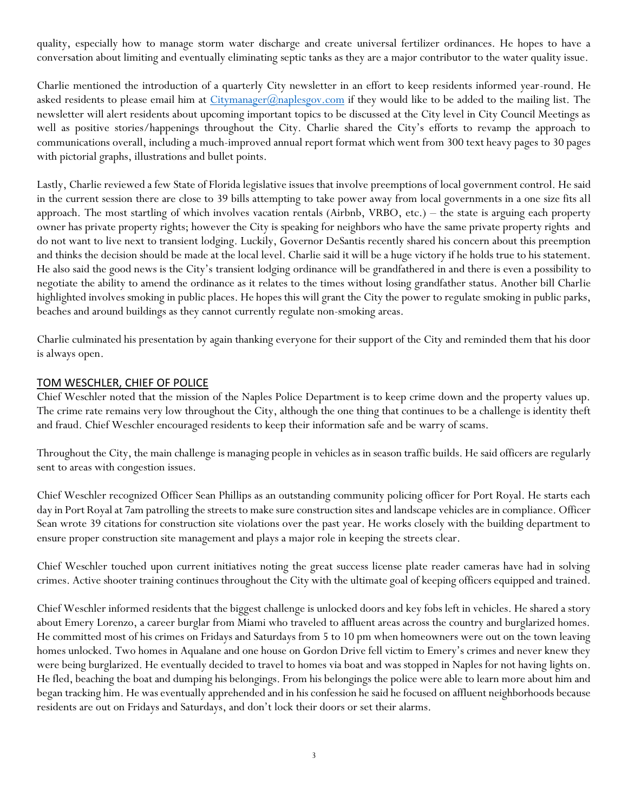quality, especially how to manage storm water discharge and create universal fertilizer ordinances. He hopes to have a conversation about limiting and eventually eliminating septic tanks as they are a major contributor to the water quality issue.

Charlie mentioned the introduction of a quarterly City newsletter in an effort to keep residents informed year-round. He asked residents to please email him at [Citymanager@naplesgov.com](mailto:Citymanager@naplesgov.com) if they would like to be added to the mailing list. The newsletter will alert residents about upcoming important topics to be discussed at the City level in City Council Meetings as well as positive stories/happenings throughout the City. Charlie shared the City's efforts to revamp the approach to communications overall, including a much-improved annual report format which went from 300 text heavy pages to 30 pages with pictorial graphs, illustrations and bullet points.

Lastly, Charlie reviewed a few State of Florida legislative issues that involve preemptions of local government control. He said in the current session there are close to 39 bills attempting to take power away from local governments in a one size fits all approach. The most startling of which involves vacation rentals (Airbnb, VRBO, etc.) – the state is arguing each property owner has private property rights; however the City is speaking for neighbors who have the same private property rights and do not want to live next to transient lodging. Luckily, Governor DeSantis recently shared his concern about this preemption and thinks the decision should be made at the local level. Charlie said it will be a huge victory if he holds true to his statement. He also said the good news is the City's transient lodging ordinance will be grandfathered in and there is even a possibility to negotiate the ability to amend the ordinance as it relates to the times without losing grandfather status. Another bill Charlie highlighted involves smoking in public places. He hopes this will grant the City the power to regulate smoking in public parks, beaches and around buildings as they cannot currently regulate non-smoking areas.

Charlie culminated his presentation by again thanking everyone for their support of the City and reminded them that his door is always open.

### TOM WESCHLER, CHIEF OF POLICE

Chief Weschler noted that the mission of the Naples Police Department is to keep crime down and the property values up. The crime rate remains very low throughout the City, although the one thing that continues to be a challenge is identity theft and fraud. Chief Weschler encouraged residents to keep their information safe and be warry of scams.

Throughout the City, the main challenge is managing people in vehicles as in season traffic builds. He said officers are regularly sent to areas with congestion issues.

Chief Weschler recognized Officer Sean Phillips as an outstanding community policing officer for Port Royal. He starts each day in Port Royal at 7am patrolling the streets to make sure construction sites and landscape vehicles are in compliance. Officer Sean wrote 39 citations for construction site violations over the past year. He works closely with the building department to ensure proper construction site management and plays a major role in keeping the streets clear.

Chief Weschler touched upon current initiatives noting the great success license plate reader cameras have had in solving crimes. Active shooter training continues throughout the City with the ultimate goal of keeping officers equipped and trained.

Chief Weschler informed residents that the biggest challenge is unlocked doors and key fobs left in vehicles. He shared a story about Emery Lorenzo, a career burglar from Miami who traveled to affluent areas across the country and burglarized homes. He committed most of his crimes on Fridays and Saturdays from 5 to 10 pm when homeowners were out on the town leaving homes unlocked. Two homes in Aqualane and one house on Gordon Drive fell victim to Emery's crimes and never knew they were being burglarized. He eventually decided to travel to homes via boat and was stopped in Naples for not having lights on. He fled, beaching the boat and dumping his belongings. From his belongings the police were able to learn more about him and began tracking him. He was eventually apprehended and in his confession he said he focused on affluent neighborhoods because residents are out on Fridays and Saturdays, and don't lock their doors or set their alarms.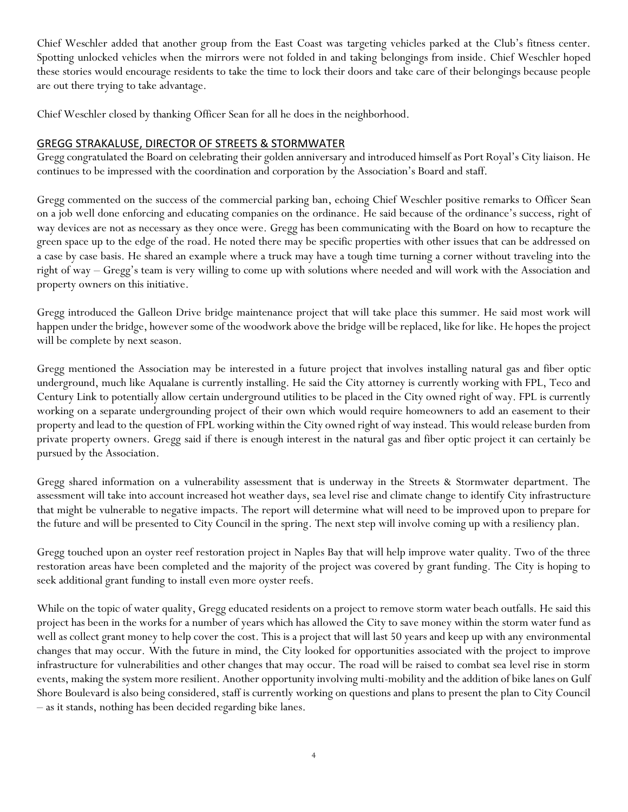Chief Weschler added that another group from the East Coast was targeting vehicles parked at the Club's fitness center. Spotting unlocked vehicles when the mirrors were not folded in and taking belongings from inside. Chief Weschler hoped these stories would encourage residents to take the time to lock their doors and take care of their belongings because people are out there trying to take advantage.

Chief Weschler closed by thanking Officer Sean for all he does in the neighborhood.

## GREGG STRAKALUSE, DIRECTOR OF STREETS & STORMWATER

Gregg congratulated the Board on celebrating their golden anniversary and introduced himself as Port Royal's City liaison. He continues to be impressed with the coordination and corporation by the Association's Board and staff.

Gregg commented on the success of the commercial parking ban, echoing Chief Weschler positive remarks to Officer Sean on a job well done enforcing and educating companies on the ordinance. He said because of the ordinance's success, right of way devices are not as necessary as they once were. Gregg has been communicating with the Board on how to recapture the green space up to the edge of the road. He noted there may be specific properties with other issues that can be addressed on a case by case basis. He shared an example where a truck may have a tough time turning a corner without traveling into the right of way – Gregg's team is very willing to come up with solutions where needed and will work with the Association and property owners on this initiative.

Gregg introduced the Galleon Drive bridge maintenance project that will take place this summer. He said most work will happen under the bridge, however some of the woodwork above the bridge will be replaced, like for like. He hopes the project will be complete by next season.

Gregg mentioned the Association may be interested in a future project that involves installing natural gas and fiber optic underground, much like Aqualane is currently installing. He said the City attorney is currently working with FPL, Teco and Century Link to potentially allow certain underground utilities to be placed in the City owned right of way. FPL is currently working on a separate undergrounding project of their own which would require homeowners to add an easement to their property and lead to the question of FPL working within the City owned right of way instead. This would release burden from private property owners. Gregg said if there is enough interest in the natural gas and fiber optic project it can certainly be pursued by the Association.

Gregg shared information on a vulnerability assessment that is underway in the Streets & Stormwater department. The assessment will take into account increased hot weather days, sea level rise and climate change to identify City infrastructure that might be vulnerable to negative impacts. The report will determine what will need to be improved upon to prepare for the future and will be presented to City Council in the spring. The next step will involve coming up with a resiliency plan.

Gregg touched upon an oyster reef restoration project in Naples Bay that will help improve water quality. Two of the three restoration areas have been completed and the majority of the project was covered by grant funding. The City is hoping to seek additional grant funding to install even more oyster reefs.

While on the topic of water quality, Gregg educated residents on a project to remove storm water beach outfalls. He said this project has been in the works for a number of years which has allowed the City to save money within the storm water fund as well as collect grant money to help cover the cost. This is a project that will last 50 years and keep up with any environmental changes that may occur. With the future in mind, the City looked for opportunities associated with the project to improve infrastructure for vulnerabilities and other changes that may occur. The road will be raised to combat sea level rise in storm events, making the system more resilient. Another opportunity involving multi-mobility and the addition of bike lanes on Gulf Shore Boulevard is also being considered, staff is currently working on questions and plans to present the plan to City Council – as it stands, nothing has been decided regarding bike lanes.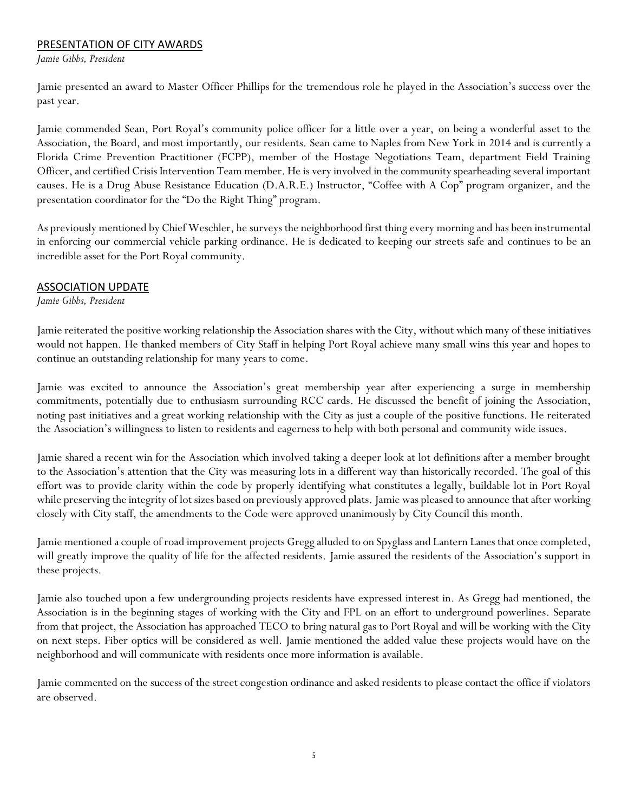## PRESENTATION OF CITY AWARDS

*Jamie Gibbs, President*

Jamie presented an award to Master Officer Phillips for the tremendous role he played in the Association's success over the past year.

Jamie commended Sean, Port Royal's community police officer for a little over a year, on being a wonderful asset to the Association, the Board, and most importantly, our residents. Sean came to Naples from New York in 2014 and is currently a Florida Crime Prevention Practitioner (FCPP), member of the Hostage Negotiations Team, department Field Training Officer, and certified Crisis Intervention Team member. He is very involved in the community spearheading several important causes. He is a Drug Abuse Resistance Education (D.A.R.E.) Instructor, "Coffee with A Cop" program organizer, and the presentation coordinator for the "Do the Right Thing" program.

As previously mentioned by Chief Weschler, he surveys the neighborhood first thing every morning and has been instrumental in enforcing our commercial vehicle parking ordinance. He is dedicated to keeping our streets safe and continues to be an incredible asset for the Port Royal community.

## ASSOCIATION UPDATE

### *Jamie Gibbs, President*

Jamie reiterated the positive working relationship the Association shares with the City, without which many of these initiatives would not happen. He thanked members of City Staff in helping Port Royal achieve many small wins this year and hopes to continue an outstanding relationship for many years to come.

Jamie was excited to announce the Association's great membership year after experiencing a surge in membership commitments, potentially due to enthusiasm surrounding RCC cards. He discussed the benefit of joining the Association, noting past initiatives and a great working relationship with the City as just a couple of the positive functions. He reiterated the Association's willingness to listen to residents and eagerness to help with both personal and community wide issues.

Jamie shared a recent win for the Association which involved taking a deeper look at lot definitions after a member brought to the Association's attention that the City was measuring lots in a different way than historically recorded. The goal of this effort was to provide clarity within the code by properly identifying what constitutes a legally, buildable lot in Port Royal while preserving the integrity of lot sizes based on previously approved plats. Jamie was pleased to announce that after working closely with City staff, the amendments to the Code were approved unanimously by City Council this month.

Jamie mentioned a couple of road improvement projects Gregg alluded to on Spyglass and Lantern Lanes that once completed, will greatly improve the quality of life for the affected residents. Jamie assured the residents of the Association's support in these projects.

Jamie also touched upon a few undergrounding projects residents have expressed interest in. As Gregg had mentioned, the Association is in the beginning stages of working with the City and FPL on an effort to underground powerlines. Separate from that project, the Association has approached TECO to bring natural gas to Port Royal and will be working with the City on next steps. Fiber optics will be considered as well. Jamie mentioned the added value these projects would have on the neighborhood and will communicate with residents once more information is available.

Jamie commented on the success of the street congestion ordinance and asked residents to please contact the office if violators are observed.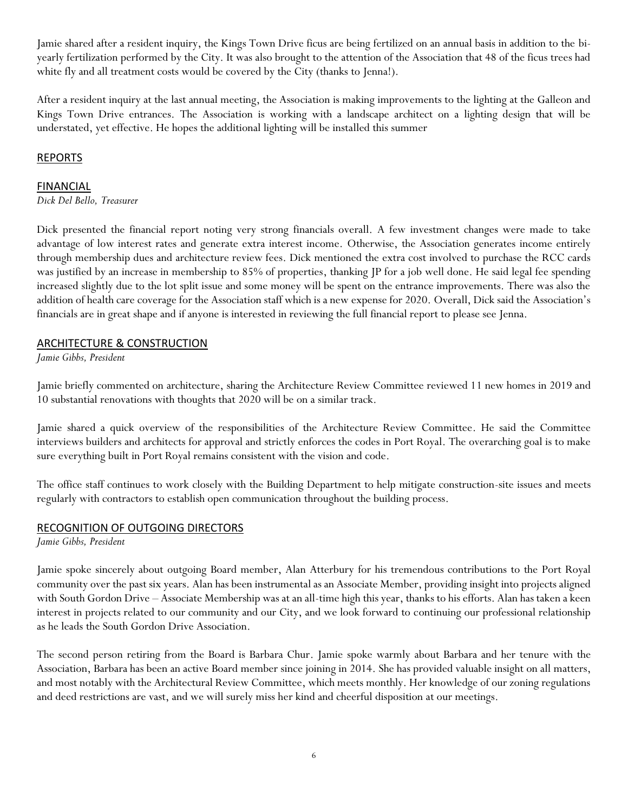Jamie shared after a resident inquiry, the Kings Town Drive ficus are being fertilized on an annual basis in addition to the biyearly fertilization performed by the City. It was also brought to the attention of the Association that 48 of the ficus trees had white fly and all treatment costs would be covered by the City (thanks to Jenna!).

After a resident inquiry at the last annual meeting, the Association is making improvements to the lighting at the Galleon and Kings Town Drive entrances. The Association is working with a landscape architect on a lighting design that will be understated, yet effective. He hopes the additional lighting will be installed this summer

## REPORTS

### FINANCIAL

*Dick Del Bello, Treasurer*

Dick presented the financial report noting very strong financials overall. A few investment changes were made to take advantage of low interest rates and generate extra interest income. Otherwise, the Association generates income entirely through membership dues and architecture review fees. Dick mentioned the extra cost involved to purchase the RCC cards was justified by an increase in membership to 85% of properties, thanking JP for a job well done. He said legal fee spending increased slightly due to the lot split issue and some money will be spent on the entrance improvements. There was also the addition of health care coverage for the Association staff which is a new expense for 2020. Overall, Dick said the Association's financials are in great shape and if anyone is interested in reviewing the full financial report to please see Jenna.

### ARCHITECTURE & CONSTRUCTION

*Jamie Gibbs, President*

Jamie briefly commented on architecture, sharing the Architecture Review Committee reviewed 11 new homes in 2019 and 10 substantial renovations with thoughts that 2020 will be on a similar track.

Jamie shared a quick overview of the responsibilities of the Architecture Review Committee. He said the Committee interviews builders and architects for approval and strictly enforces the codes in Port Royal. The overarching goal is to make sure everything built in Port Royal remains consistent with the vision and code.

The office staff continues to work closely with the Building Department to help mitigate construction-site issues and meets regularly with contractors to establish open communication throughout the building process.

## RECOGNITION OF OUTGOING DIRECTORS

*Jamie Gibbs, President*

Jamie spoke sincerely about outgoing Board member, Alan Atterbury for his tremendous contributions to the Port Royal community over the past six years. Alan has been instrumental as an Associate Member, providing insight into projects aligned with South Gordon Drive – Associate Membership was at an all-time high this year, thanks to his efforts. Alan has taken a keen interest in projects related to our community and our City, and we look forward to continuing our professional relationship as he leads the South Gordon Drive Association.

The second person retiring from the Board is Barbara Chur. Jamie spoke warmly about Barbara and her tenure with the Association, Barbara has been an active Board member since joining in 2014. She has provided valuable insight on all matters, and most notably with the Architectural Review Committee, which meets monthly. Her knowledge of our zoning regulations and deed restrictions are vast, and we will surely miss her kind and cheerful disposition at our meetings.